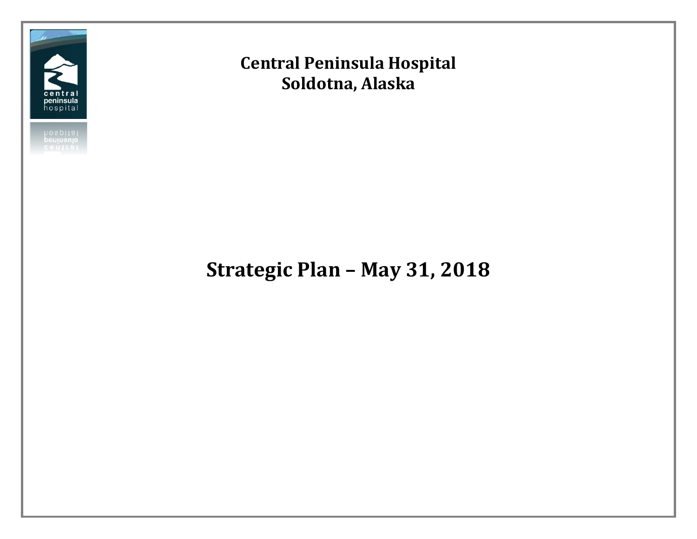

## **Central Peninsula Hospital Soldotna, Alaska**

# **Strategic Plan – May 31, 2018**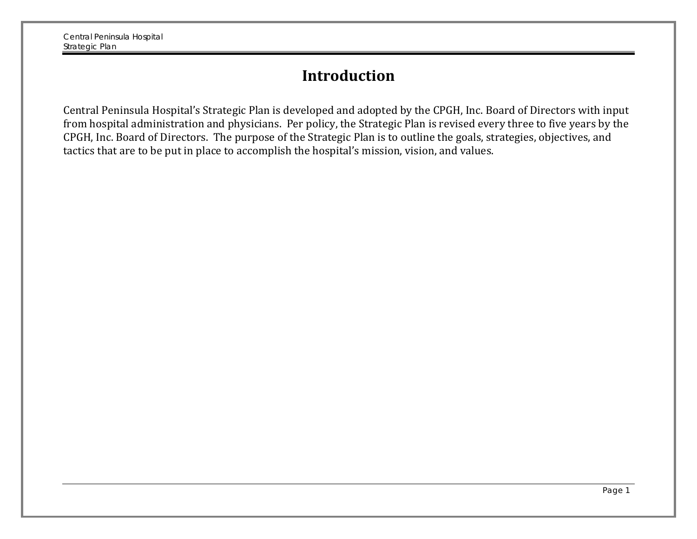### **Introduction**

Central Peninsula Hospital's Strategic Plan is developed and adopted by the CPGH, Inc. Board of Directors with input from hospital administration and physicians. Per policy, the Strategic Plan is revised every three to five years by the CPGH, Inc. Board of Directors. The purpose of the Strategic Plan is to outline the goals, strategies, objectives, and tactics that are to be put in place to accomplish the hospital's mission, vision, and values.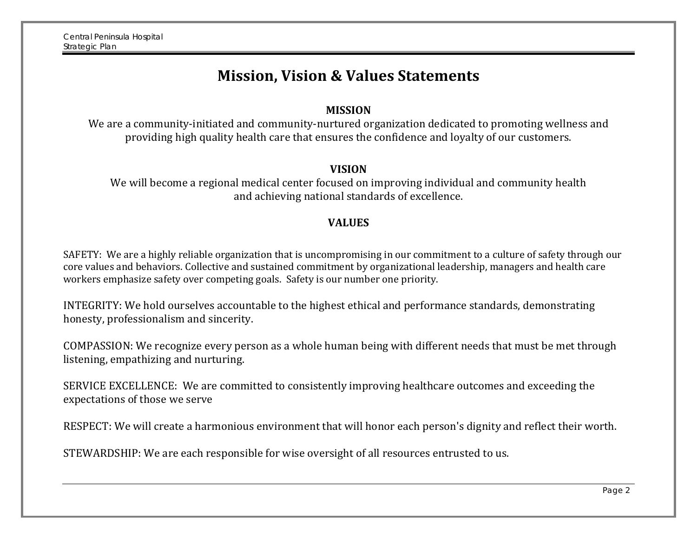### **Mission, Vision & Values Statements**

#### **MISSION**

We are a community-initiated and community-nurtured organization dedicated to promoting wellness and providing high quality health care that ensures the confidence and loyalty of our customers.

#### **VISION**

We will become a regional medical center focused on improving individual and community health and achieving national standards of excellence.

#### **VALUES**

SAFETY: We are a highly reliable organization that is uncompromising in our commitment to a culture of safety through our core values and behaviors. Collective and sustained commitment by organizational leadership, managers and health care workers emphasize safety over competing goals. Safety is our number one priority.

INTEGRITY: We hold ourselves accountable to the highest ethical and performance standards, demonstrating honesty, professionalism and sincerity.

COMPASSION: We recognize every person as a whole human being with different needs that must be met through listening, empathizing and nurturing.

SERVICE EXCELLENCE: We are committed to consistently improving healthcare outcomes and exceeding the expectations of those we serve

RESPECT: We will create a harmonious environment that will honor each person's dignity and reflect their worth.

STEWARDSHIP: We are each responsible for wise oversight of all resources entrusted to us.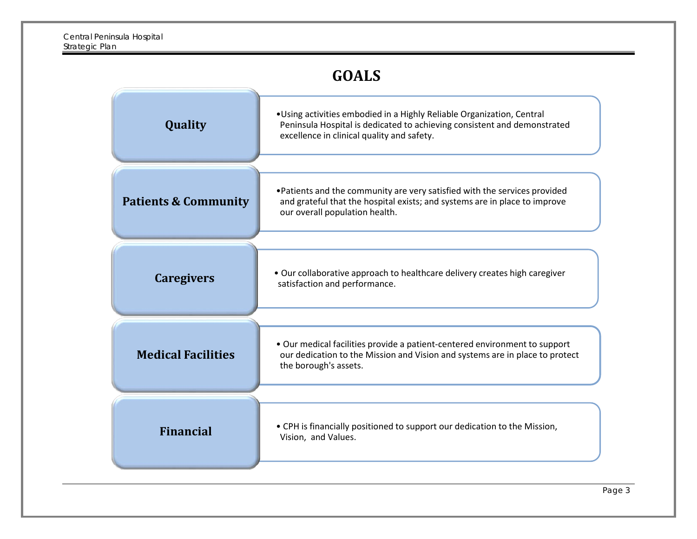### **GOALS**

| Quality                         | . Using activities embodied in a Highly Reliable Organization, Central<br>Peninsula Hospital is dedicated to achieving consistent and demonstrated<br>excellence in clinical quality and safety. |  |  |  |  |
|---------------------------------|--------------------------------------------------------------------------------------------------------------------------------------------------------------------------------------------------|--|--|--|--|
| <b>Patients &amp; Community</b> | . Patients and the community are very satisfied with the services provided<br>and grateful that the hospital exists; and systems are in place to improve<br>our overall population health.       |  |  |  |  |
| <b>Caregivers</b>               | . Our collaborative approach to healthcare delivery creates high caregiver<br>satisfaction and performance.                                                                                      |  |  |  |  |
| <b>Medical Facilities</b>       | . Our medical facilities provide a patient-centered environment to support<br>our dedication to the Mission and Vision and systems are in place to protect<br>the borough's assets.              |  |  |  |  |
| <b>Financial</b>                | • CPH is financially positioned to support our dedication to the Mission,<br>Vision, and Values.                                                                                                 |  |  |  |  |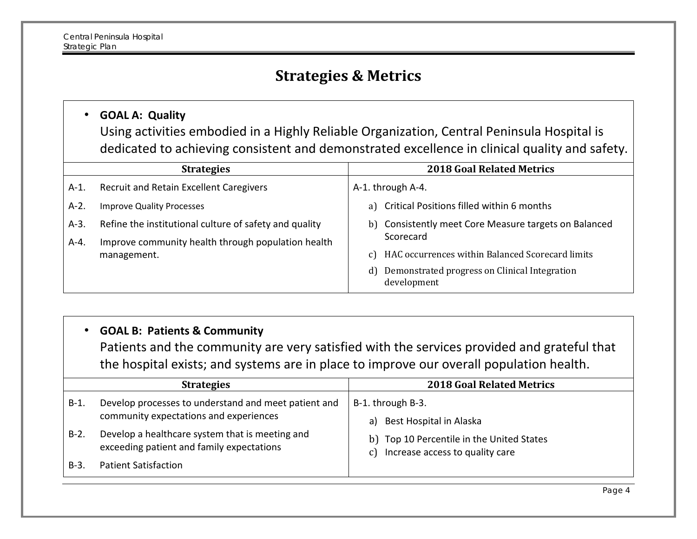### **Strategies & Metrics**

#### • **GOAL A: Quality**

Using activities embodied in a Highly Reliable Organization, Central Peninsula Hospital is dedicated to achieving consistent and demonstrated excellence in clinical quality and safety.

|                   | <b>Strategies</b>                                                                                            | <b>2018 Goal Related Metrics</b>                                   |
|-------------------|--------------------------------------------------------------------------------------------------------------|--------------------------------------------------------------------|
| A-1.              | Recruit and Retain Excellent Caregivers                                                                      | A-1. through A-4.                                                  |
| $A-2.$            | <b>Improve Quality Processes</b>                                                                             | a) Critical Positions filled within 6 months                       |
| $A-3$ .<br>$A-4.$ | Refine the institutional culture of safety and quality<br>Improve community health through population health | b) Consistently meet Core Measure targets on Balanced<br>Scorecard |
|                   | management.                                                                                                  | HAC occurrences within Balanced Scorecard limits<br>C)             |
|                   |                                                                                                              | Demonstrated progress on Clinical Integration<br>d)<br>development |

#### • **GOAL B: Patients & Community**

Patients and the community are very satisfied with the services provided and grateful that the hospital exists; and systems are in place to improve our overall population health.

| <b>Strategies</b> |                                                                                                | <b>2018 Goal Related Metrics</b>                                                   |  |  |
|-------------------|------------------------------------------------------------------------------------------------|------------------------------------------------------------------------------------|--|--|
| $B-1.$            | Develop processes to understand and meet patient and<br>community expectations and experiences | B-1. through B-3.<br>Best Hospital in Alaska<br>a)                                 |  |  |
| $B-2$ .           | Develop a healthcare system that is meeting and<br>exceeding patient and family expectations   | b) Top 10 Percentile in the United States<br>Increase access to quality care<br>C) |  |  |
| $B-3$ .           | <b>Patient Satisfaction</b>                                                                    |                                                                                    |  |  |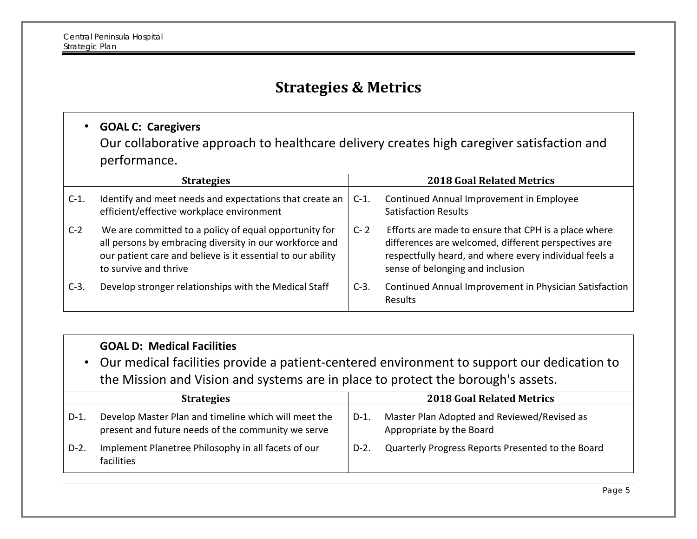### **Strategies & Metrics**

### • **GOAL C: Caregivers**

Our collaborative approach to healthcare delivery creates high caregiver satisfaction and performance.

| <b>Strategies</b> |                                                                                                                                                                                                          | <b>2018 Goal Related Metrics</b> |                                                                                                                                                                                                            |
|-------------------|----------------------------------------------------------------------------------------------------------------------------------------------------------------------------------------------------------|----------------------------------|------------------------------------------------------------------------------------------------------------------------------------------------------------------------------------------------------------|
| $C-1$ .           | Identify and meet needs and expectations that create an<br>efficient/effective workplace environment                                                                                                     | $C-1$ .                          | Continued Annual Improvement in Employee<br><b>Satisfaction Results</b>                                                                                                                                    |
| $C-2$             | We are committed to a policy of equal opportunity for<br>all persons by embracing diversity in our workforce and<br>our patient care and believe is it essential to our ability<br>to survive and thrive | $C - 2$                          | Efforts are made to ensure that CPH is a place where<br>differences are welcomed, different perspectives are<br>respectfully heard, and where every individual feels a<br>sense of belonging and inclusion |
| $C-3$ .           | Develop stronger relationships with the Medical Staff                                                                                                                                                    | $C-3$ .                          | Continued Annual Improvement in Physician Satisfaction<br>Results                                                                                                                                          |

#### **GOAL D: Medical Facilities**

• Our medical facilities provide a patient-centered environment to support our dedication to the Mission and Vision and systems are in place to protect the borough's assets.

| <b>Strategies</b> |                                                                                                            | <b>2018 Goal Related Metrics</b> |                                                                         |
|-------------------|------------------------------------------------------------------------------------------------------------|----------------------------------|-------------------------------------------------------------------------|
| $D-1$ .           | Develop Master Plan and timeline which will meet the<br>present and future needs of the community we serve | $D-1.$                           | Master Plan Adopted and Reviewed/Revised as<br>Appropriate by the Board |
| $D-2$ .           | Implement Planetree Philosophy in all facets of our<br>facilities                                          | $D-2.$                           | Quarterly Progress Reports Presented to the Board                       |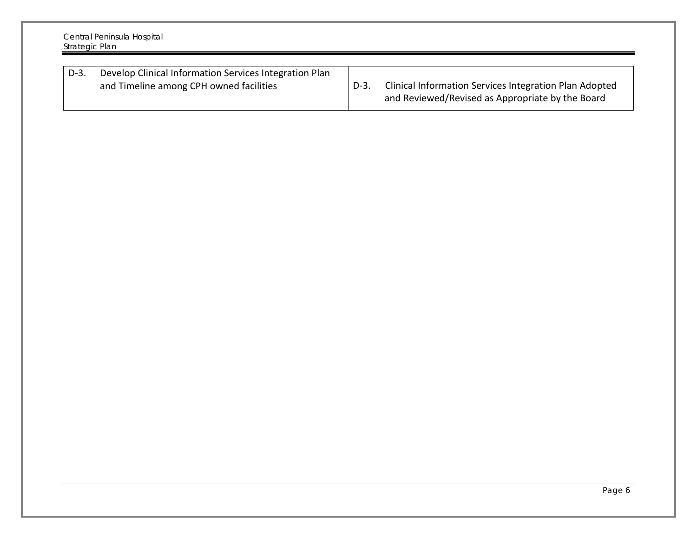| Central Peninsula Hospital<br>Strategic Plan |                                                                                                   |      |                                                                                                            |
|----------------------------------------------|---------------------------------------------------------------------------------------------------|------|------------------------------------------------------------------------------------------------------------|
| $D-3$ .                                      | Develop Clinical Information Services Integration Plan<br>and Timeline among CPH owned facilities | D-3. | Clinical Information Services Integration Plan Adopted<br>and Reviewed/Revised as Appropriate by the Board |